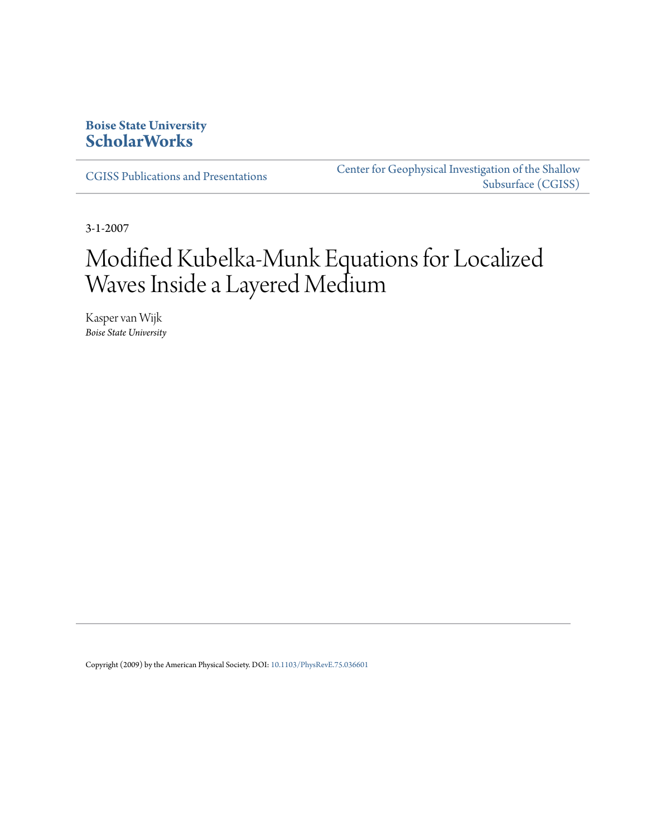# **Boise State University [ScholarWorks](https://scholarworks.boisestate.edu)**

[CGISS Publications and Presentations](https://scholarworks.boisestate.edu/cgiss_facpubs)

[Center for Geophysical Investigation of the Shallow](https://scholarworks.boisestate.edu/cgiss) [Subsurface \(CGISS\)](https://scholarworks.boisestate.edu/cgiss)

3-1-2007

# Modified Kubelka-Munk Equations for Localized Waves Inside a Layered Medium

Kasper van Wijk *Boise State University*

Copyright (2009) by the American Physical Society. DOI: [10.1103/PhysRevE.75.036601](http://dx.doi.org/10.1103/PhysRevE.75.036601)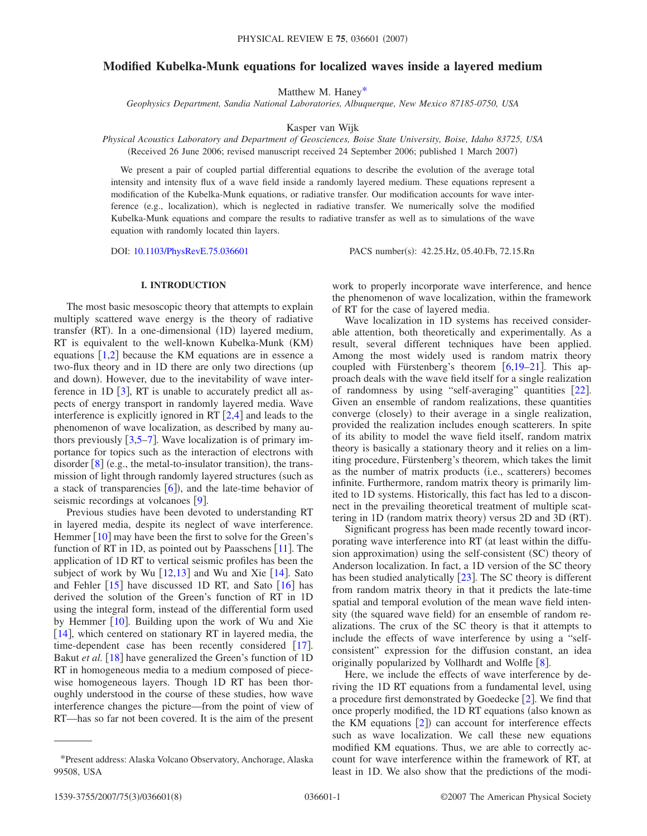# **Modified Kubelka-Munk equations for localized waves inside a layered medium**

Matthew M. Hane[y\\*](#page-1-0)

*Geophysics Department, Sandia National Laboratories, Albuquerque, New Mexico 87185-0750, USA*

Kasper van Wijk

*Physical Acoustics Laboratory and Department of Geosciences, Boise State University, Boise, Idaho 83725, USA* (Received 26 June 2006; revised manuscript received 24 September 2006; published 1 March 2007)

We present a pair of coupled partial differential equations to describe the evolution of the average total intensity and intensity flux of a wave field inside a randomly layered medium. These equations represent a modification of the Kubelka-Munk equations, or radiative transfer. Our modification accounts for wave interference (e.g., localization), which is neglected in radiative transfer. We numerically solve the modified Kubelka-Munk equations and compare the results to radiative transfer as well as to simulations of the wave equation with randomly located thin layers.

DOI: [10.1103/PhysRevE.75.036601](http://dx.doi.org/10.1103/PhysRevE.75.036601)

PACS number(s): 42.25.Hz, 05.40.Fb, 72.15.Rn

#### **I. INTRODUCTION**

The most basic mesoscopic theory that attempts to explain multiply scattered wave energy is the theory of radiative transfer (RT). In a one-dimensional (1D) layered medium, RT is equivalent to the well-known Kubelka-Munk (KM) equations  $[1,2]$  $[1,2]$  $[1,2]$  $[1,2]$  because the KM equations are in essence a two-flux theory and in 1D there are only two directions (up and down). However, due to the inevitability of wave interference in 1D  $\lceil 3 \rceil$  $\lceil 3 \rceil$  $\lceil 3 \rceil$ , RT is unable to accurately predict all aspects of energy transport in randomly layered media. Wave interference is explicitly ignored in RT  $[2,4]$  $[2,4]$  $[2,4]$  $[2,4]$  and leads to the phenomenon of wave localization, as described by many authors previously  $\lceil 3, 5-7 \rceil$  $\lceil 3, 5-7 \rceil$  $\lceil 3, 5-7 \rceil$  $\lceil 3, 5-7 \rceil$  $\lceil 3, 5-7 \rceil$ . Wave localization is of primary importance for topics such as the interaction of electrons with disorder  $[8]$  $[8]$  $[8]$  (e.g., the metal-to-insulator transition), the transmission of light through randomly layered structures (such as a stack of transparencies  $[6]$  $[6]$  $[6]$ ), and the late-time behavior of seismic recordings at volcanoes  $[9]$  $[9]$  $[9]$ .

Previous studies have been devoted to understanding RT in layered media, despite its neglect of wave interference. Hemmer  $[10]$  $[10]$  $[10]$  may have been the first to solve for the Green's function of RT in 1D, as pointed out by Paasschens  $[11]$  $[11]$  $[11]$ . The application of 1D RT to vertical seismic profiles has been the subject of work by Wu  $[12,13]$  $[12,13]$  $[12,13]$  $[12,13]$  and Wu and Xie  $[14]$  $[14]$  $[14]$ . Sato and Fehler  $\lceil 15 \rceil$  $\lceil 15 \rceil$  $\lceil 15 \rceil$  have discussed 1D RT, and Sato  $\lceil 16 \rceil$  $\lceil 16 \rceil$  $\lceil 16 \rceil$  has derived the solution of the Green's function of RT in 1D using the integral form, instead of the differential form used by Hemmer  $[10]$  $[10]$  $[10]$ . Building upon the work of Wu and Xie  $[14]$  $[14]$  $[14]$ , which centered on stationary RT in layered media, the time-dependent case has been recently considered  $\lceil 17 \rceil$  $\lceil 17 \rceil$  $\lceil 17 \rceil$ . Bakut *et al.* [[18](#page-8-17)] have generalized the Green's function of 1D RT in homogeneous media to a medium composed of piecewise homogeneous layers. Though 1D RT has been thoroughly understood in the course of these studies, how wave interference changes the picture—from the point of view of RT—has so far not been covered. It is the aim of the present work to properly incorporate wave interference, and hence the phenomenon of wave localization, within the framework of RT for the case of layered media.

Wave localization in 1D systems has received considerable attention, both theoretically and experimentally. As a result, several different techniques have been applied. Among the most widely used is random matrix theory coupled with Fürstenberg's theorem  $\lceil 6, 19-21 \rceil$  $\lceil 6, 19-21 \rceil$  $\lceil 6, 19-21 \rceil$ . This approach deals with the wave field itself for a single realization of randomness by using "self-averaging" quantities [[22](#page-8-20)]. Given an ensemble of random realizations, these quantities converge (closely) to their average in a single realization, provided the realization includes enough scatterers. In spite of its ability to model the wave field itself, random matrix theory is basically a stationary theory and it relies on a limiting procedure, Fürstenberg's theorem, which takes the limit as the number of matrix products (i.e., scatterers) becomes infinite. Furthermore, random matrix theory is primarily limited to 1D systems. Historically, this fact has led to a disconnect in the prevailing theoretical treatment of multiple scattering in 1D (random matrix theory) versus 2D and 3D (RT).

Significant progress has been made recently toward incorporating wave interference into RT (at least within the diffusion approximation) using the self-consistent (SC) theory of Anderson localization. In fact, a 1D version of the SC theory has been studied analytically  $[23]$  $[23]$  $[23]$ . The SC theory is different from random matrix theory in that it predicts the late-time spatial and temporal evolution of the mean wave field intensity (the squared wave field) for an ensemble of random realizations. The crux of the SC theory is that it attempts to include the effects of wave interference by using a "selfconsistent" expression for the diffusion constant, an idea originally popularized by Vollhardt and Wolfle  $\lceil 8 \rceil$  $\lceil 8 \rceil$  $\lceil 8 \rceil$ .

Here, we include the effects of wave interference by deriving the 1D RT equations from a fundamental level, using a procedure first demonstrated by Goedecke  $\lceil 2 \rceil$  $\lceil 2 \rceil$  $\lceil 2 \rceil$ . We find that once properly modified, the 1D RT equations (also known as the KM equations  $[2]$  $[2]$  $[2]$ ) can account for interference effects such as wave localization. We call these new equations modified KM equations. Thus, we are able to correctly account for wave interference within the framework of RT, at least in 1D. We also show that the predictions of the modi-

<span id="page-1-0"></span><sup>\*</sup>Present address: Alaska Volcano Observatory, Anchorage, Alaska 99508, USA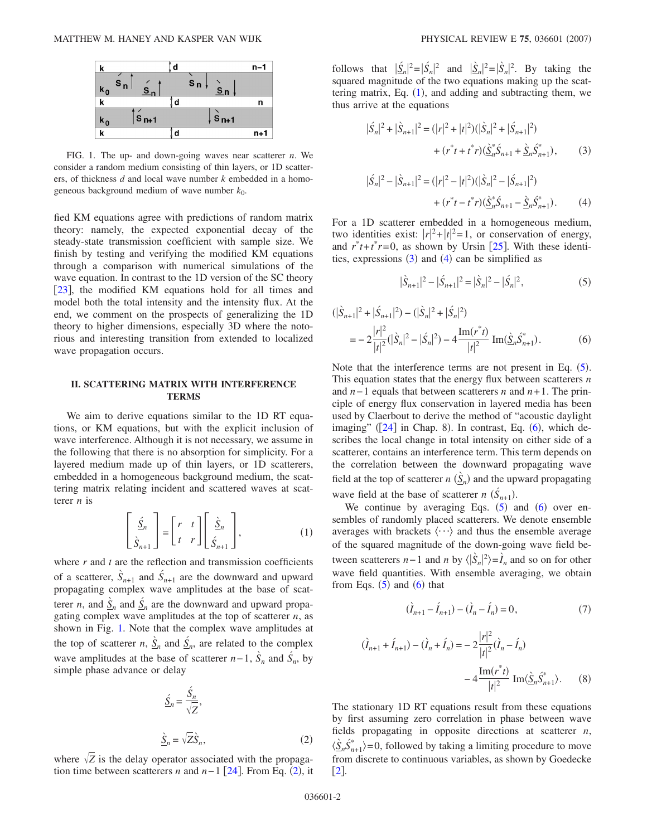<span id="page-2-0"></span>

FIG. 1. The up- and down-going waves near scatterer *n*. We consider a random medium consisting of thin layers, or 1D scatterers, of thickness *d* and local wave number *k* embedded in a homogeneous background medium of wave number  $k_0$ .

fied KM equations agree with predictions of random matrix theory: namely, the expected exponential decay of the steady-state transmission coefficient with sample size. We finish by testing and verifying the modified KM equations through a comparison with numerical simulations of the wave equation. In contrast to the 1D version of the SC theory [[23](#page-8-21)], the modified KM equations hold for all times and model both the total intensity and the intensity flux. At the end, we comment on the prospects of generalizing the 1D theory to higher dimensions, especially 3D where the notorious and interesting transition from extended to localized wave propagation occurs.

#### **II. SCATTERING MATRIX WITH INTERFERENCE TERMS**

We aim to derive equations similar to the 1D RT equations, or KM equations, but with the explicit inclusion of wave interference. Although it is not necessary, we assume in the following that there is no absorption for simplicity. For a layered medium made up of thin layers, or 1D scatterers, embedded in a homogeneous background medium, the scattering matrix relating incident and scattered waves at scatterer *n* is

$$
\begin{bmatrix} \underline{\acute{S}}_n \\ \dot{\underline{S}}_{n+1} \end{bmatrix} = \begin{bmatrix} r & t \\ t & r \end{bmatrix} \begin{bmatrix} \underline{\grave{S}}_n \\ \underline{\acute{S}}_{n+1} \end{bmatrix},
$$
(1)

<span id="page-2-2"></span>where *r* and *t* are the reflection and transmission coefficients of a scatterer,  $\hat{S}_{n+1}$  and  $\hat{S}_{n+1}$  are the downward and upward propagating complex wave amplitudes at the base of scatterer *n*, and  $\underline{\hat{S}}_n$  and  $\underline{\hat{S}}_n$  are the downward and upward propagating complex wave amplitudes at the top of scatterer  $n$ , as shown in Fig. [1.](#page-2-0) Note that the complex wave amplitudes at the top of scatterer *n*,  $\hat{S}_n$  and  $\hat{S}_n$ , are related to the complex wave amplitudes at the base of scatterer  $n-1$ ,  $\hat{S}_n$  and  $\hat{S}_n$ , by simple phase advance or delay

$$
\underline{\hat{S}}_n = \frac{\hat{S}_n}{\sqrt{Z}},
$$
\n
$$
\underline{\hat{S}}_n = \sqrt{Z}\hat{S}_n,
$$
\n(2)

<span id="page-2-1"></span>where  $\sqrt{Z}$  is the delay operator associated with the propagation time between scatterers *n* and  $n-1$  [[24](#page-8-22)]. From Eq. ([2](#page-2-1)), it

follows that  $|\underline{\hat{S}}_n|^2 = |\hat{S}_n|^2$  and  $|\underline{\hat{S}}_n|^2 = |\hat{S}_n|^2$ . By taking the squared magnitude of the two equations making up the scattering matrix, Eq.  $(1)$  $(1)$  $(1)$ , and adding and subtracting them, we thus arrive at the equations

<span id="page-2-3"></span>
$$
|\dot{S}_n|^2 + |\dot{S}_{n+1}|^2 = (|r|^2 + |t|^2)(|\dot{S}_n|^2 + |\dot{S}_{n+1}|^2) + (r^*t + t^*r)(\underline{\dot{S}}_n^*\dot{S}_{n+1} + \underline{\dot{S}}_n\dot{S}_{n+1}^*),
$$
(3)

<span id="page-2-4"></span>
$$
|\dot{S}_n|^2 - |\dot{S}_{n+1}|^2 = (|r|^2 - |t|^2)(|\dot{S}_n|^2 - |\dot{S}_{n+1}|^2) + (r^*t - t^*) (\dot{S}_n^* \dot{S}_{n+1} - \dot{S}_n \dot{S}_{n+1}^*).
$$
 (4)

For a 1D scatterer embedded in a homogeneous medium, two identities exist:  $|r|^2 + |t|^2 = 1$ , or conservation of energy, and  $r^*t + t^*r = 0$ , as shown by Ursin [[25](#page-8-23)]. With these identities, expressions  $(3)$  $(3)$  $(3)$  and  $(4)$  $(4)$  $(4)$  can be simplified as

$$
|\dot{S}_{n+1}|^2 - |\dot{S}_{n+1}|^2 = |\dot{S}_n|^2 - |\dot{S}_n|^2,\tag{5}
$$

<span id="page-2-6"></span><span id="page-2-5"></span>
$$
(|\dot{S}_{n+1}|^2 + |\dot{S}_{n+1}|^2) - (|\dot{S}_n|^2 + |\dot{S}_n|^2)
$$
  
= 
$$
-2\frac{|r|^2}{|t|^2}(|\dot{S}_n|^2 - |\dot{S}_n|^2) - 4\frac{\text{Im}(r^*t)}{|t|^2} \text{Im}(\dot{S}_n\dot{S}_{n+1}^*).
$$
 (6)

Note that the interference terms are not present in Eq.  $(5)$  $(5)$  $(5)$ . This equation states that the energy flux between scatterers *n* and *n*− 1 equals that between scatterers *n* and *n*+ 1. The principle of energy flux conservation in layered media has been used by Claerbout to derive the method of "acoustic daylight imaging"  $(24)$  $(24)$  $(24)$  in Chap. 8). In contrast, Eq.  $(6)$  $(6)$  $(6)$ , which describes the local change in total intensity on either side of a scatterer, contains an interference term. This term depends on the correlation between the downward propagating wave field at the top of scatterer *n*  $(\underline{\hat{S}}_n)$  and the upward propagating wave field at the base of scatterer *n*  $(\acute{S}_{n+1})$ .

We continue by averaging Eqs.  $(5)$  $(5)$  $(5)$  and  $(6)$  $(6)$  $(6)$  over ensembles of randomly placed scatterers. We denote ensemble averages with brackets  $\langle \cdots \rangle$  and thus the ensemble average of the squared magnitude of the down-going wave field between scatterers *n*−1 and *n* by  $\langle |\hat{S}_n|^2 \rangle = \hat{I}_n$  and so on for other wave field quantities. With ensemble averaging, we obtain from Eqs.  $(5)$  $(5)$  $(5)$  and  $(6)$  $(6)$  $(6)$  that

$$
(\tilde{I}_{n+1} - \tilde{I}_{n+1}) - (\tilde{I}_n - \tilde{I}_n) = 0, \tag{7}
$$

<span id="page-2-8"></span><span id="page-2-7"></span>
$$
(\hat{I}_{n+1} + \hat{I}_{n+1}) - (\hat{I}_n + \hat{I}_n) = -2 \frac{|r|^2}{|t|^2} (\hat{I}_n - \hat{I}_n)
$$

$$
-4 \frac{\text{Im}(r^*t)}{|t|^2} \text{Im}(\hat{S}_n \hat{S}_{n+1}^*) . \tag{8}
$$

The stationary 1D RT equations result from these equations by first assuming zero correlation in phase between wave fields propagating in opposite directions at scatterer *n*,  $\langle \hat{\underline{S}}_n \hat{S}_{n+1}^* \rangle = 0$ , followed by taking a limiting procedure to move from discrete to continuous variables, as shown by Goedecke  $\lceil 2 \rceil$  $\lceil 2 \rceil$  $\lceil 2 \rceil$ .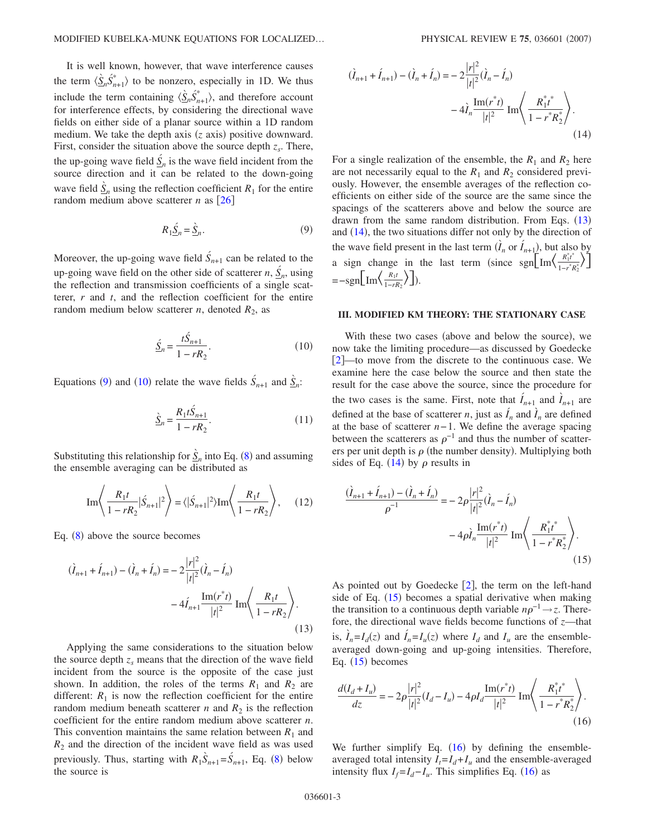It is well known, however, that wave interference causes the term  $\langle \hat{S}_n \hat{S}_{n+1}^* \rangle$  to be nonzero, especially in 1D. We thus include the term containing  $\langle \underline{\hat{S}}_n \hat{S}^*_{n+1} \rangle$ , and therefore account for interference effects, by considering the directional wave fields on either side of a planar source within a 1D random medium. We take the depth axis (*z* axis) positive downward. First, consider the situation above the source depth  $z_s$ . There, the up-going wave field  $\underline{S}_n$  is the wave field incident from the source direction and it can be related to the down-going wave field  $\hat{S}_n$  using the reflection coefficient  $R_1$  for the entire random medium above scatterer *n* as  $\lceil 26 \rceil$  $\lceil 26 \rceil$  $\lceil 26 \rceil$ 

$$
R_1 \underline{\acute{S}}_n = \underline{\grave{S}}_n. \tag{9}
$$

<span id="page-3-0"></span>Moreover, the up-going wave field  $\hat{S}_{n+1}$  can be related to the up-going wave field on the other side of scatterer  $n, \underline{S}_n$ , using the reflection and transmission coefficients of a single scatterer, *r* and *t*, and the reflection coefficient for the entire random medium below scatterer  $n$ , denoted  $R_2$ , as

$$
\underline{\hat{S}}_n = \frac{t\hat{S}_{n+1}}{1 - rR_2}.\tag{10}
$$

<span id="page-3-1"></span>Equations ([9](#page-3-0)) and ([10](#page-3-1)) relate the wave fields  $\hat{S}_{n+1}$  and  $\hat{S}_n$ :

$$
\underline{\hat{S}}_n = \frac{R_1 t \hat{S}_{n+1}}{1 - r R_2}.
$$
\n(11)

Substituting this relationship for  $\hat{S}_n$  into Eq. ([8](#page-2-7)) and assuming the ensemble averaging can be distributed as

Im
$$
\left\langle \frac{R_1 t}{1 - rR_2} |\dot{S}_{n+1}|^2 \right\rangle = \langle |\dot{S}_{n+1}|^2 \rangle \text{Im} \left\langle \frac{R_1 t}{1 - rR_2} \right\rangle,
$$
 (12)

Eq.  $(8)$  $(8)$  $(8)$  above the source becomes

<span id="page-3-2"></span>
$$
(\hat{I}_{n+1} + \hat{I}_{n+1}) - (\hat{I}_n + \hat{I}_n) = -2\frac{|r|^2}{|t|^2}(\hat{I}_n - \hat{I}_n)
$$

$$
-4\hat{I}_{n+1}\frac{\text{Im}(r^*\hat{t})}{|t|^2}\text{Im}\left(\frac{R_1t}{1 - rR_2}\right). \tag{13}
$$

Applying the same considerations to the situation below the source depth  $z<sub>s</sub>$  means that the direction of the wave field incident from the source is the opposite of the case just shown. In addition, the roles of the terms  $R_1$  and  $R_2$  are different:  $R_1$  is now the reflection coefficient for the entire random medium beneath scatterer *n* and  $R_2$  is the reflection coefficient for the entire random medium above scatterer *n*. This convention maintains the same relation between  $R_1$  and  $R_2$  and the direction of the incident wave field as was used previously. Thus, starting with  $R_1\hat{S}_{n+1} = \hat{S}_{n+1}$ , Eq. ([8](#page-2-7)) below the source is

<span id="page-3-3"></span>
$$
(\tilde{I}_{n+1} + \tilde{I}_{n+1}) - (\tilde{I}_n + \tilde{I}_n) = -2 \frac{|r|^2}{|t|^2} (\tilde{I}_n - \tilde{I}_n)
$$

$$
-4 \tilde{I}_n \frac{\text{Im}(r^*t)}{|t|^2} \text{Im} \left\langle \frac{R_1^* t^*}{1 - r^* R_2^*} \right\rangle.
$$
(14)

For a single realization of the ensemble, the  $R_1$  and  $R_2$  here are not necessarily equal to the  $R_1$  and  $R_2$  considered previously. However, the ensemble averages of the reflection coefficients on either side of the source are the same since the spacings of the scatterers above and below the source are drawn from the same random distribution. From Eqs.  $(13)$  $(13)$  $(13)$ and ([14](#page-3-3)), the two situations differ not only by the direction of the wave field present in the last term  $(\hat{I}_n \text{ or } \hat{I}_{n+1})$ , but also by a sign change in the last term (since sgn $\left[\text{Im}\left(\frac{R_1^*t^*}{1-r^*t}\right)\right]$  $\frac{R_1^* t^*}{1 - r^* R_2^*}$ )  $=-\text{sgn}\left[\text{Im}\left\langle \frac{R_1t}{1-rR_2} \right\rangle \right]$ ).

#### **III. MODIFIED KM THEORY: THE STATIONARY CASE**

With these two cases (above and below the source), we now take the limiting procedure—as discussed by Goedecke [2](#page-8-1)—to move from the discrete to the continuous case. We examine here the case below the source and then state the result for the case above the source, since the procedure for the two cases is the same. First, note that  $\hat{I}_{n+1}$  and  $\hat{I}_{n+1}$  are defined at the base of scatterer *n*, just as  $\hat{I}_n$  and  $\hat{I}_n$  are defined at the base of scatterer *n*− 1. We define the average spacing between the scatterers as  $\rho^{-1}$  and thus the number of scatterers per unit depth is  $\rho$  (the number density). Multiplying both sides of Eq.  $(14)$  $(14)$  $(14)$  by  $\rho$  results in

<span id="page-3-4"></span>
$$
\frac{(\hat{I}_{n+1} + \hat{I}_{n+1}) - (\hat{I}_n + \hat{I}_n)}{\rho^{-1}} = -2\rho \frac{|r|^2}{|t|^2} (\hat{I}_n - \hat{I}_n)
$$

$$
-4\rho \hat{I}_n \frac{\text{Im}(r^*t)}{|t|^2} \text{Im}\left\langle \frac{R_1^*t^*}{1 - r^*R_2^*} \right\rangle.
$$
(15)

As pointed out by Goedecke  $[2]$  $[2]$  $[2]$ , the term on the left-hand side of Eq.  $(15)$  $(15)$  $(15)$  becomes a spatial derivative when making the transition to a continuous depth variable  $n\rho^{-1} \rightarrow z$ . Therefore, the directional wave fields become functions of *z*—that is,  $\hat{I}_n = I_d(z)$  and  $\hat{I}_n = I_u(z)$  where  $I_d$  and  $I_u$  are the ensembleaveraged down-going and up-going intensities. Therefore, Eq.  $(15)$  $(15)$  $(15)$  becomes

<span id="page-3-5"></span>
$$
\frac{d(I_d + I_u)}{dz} = -2\rho \frac{|r|^2}{|t|^2} (I_d - I_u) - 4\rho I_d \frac{\text{Im}(r^*t)}{|t|^2} \text{ Im}\left(\frac{R_1^*t^*}{1 - r^*R_2^*}\right).
$$
\n(16)

We further simplify Eq.  $(16)$  $(16)$  $(16)$  by defining the ensembleaveraged total intensity  $I_t = I_d + I_u$  and the ensemble-averaged intensity flux  $I_f = I_d - I_u$ . This simplifies Eq. ([16](#page-3-5)) as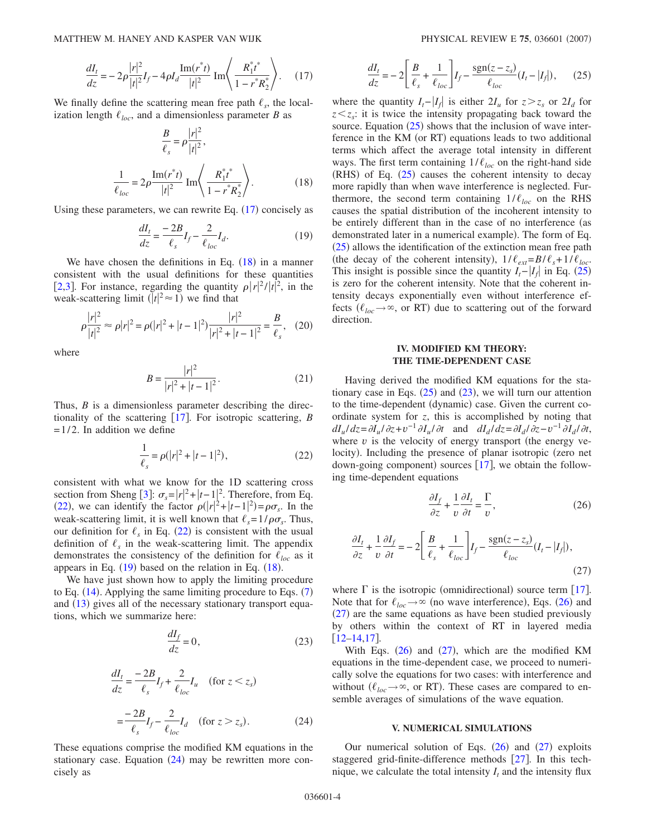$$
\frac{dI_t}{dz} = -2\rho \frac{|r|^2}{|t|^2} I_f - 4\rho I_d \frac{\text{Im}(r^*t)}{|t|^2} \text{Im}\left\langle \frac{R_1^*t^*}{1 - r^*R_2^*} \right\rangle. \tag{17}
$$

<span id="page-4-1"></span><span id="page-4-0"></span>We finally define the scattering mean free path  $\ell_s$ , the localization length  $\ell_{loc}$ , and a dimensionless parameter *B* as

$$
\frac{B}{\ell_s} = \rho \frac{|r|^2}{|t|^2},
$$
\n
$$
\frac{1}{\ell_{loc}} = 2\rho \frac{\text{Im}(r^*t)}{|t|^2} \text{Im}\left\langle \frac{R_1^*t^*}{1 - r^*R_2^*} \right\rangle. \tag{18}
$$

<span id="page-4-3"></span>Using these parameters, we can rewrite Eq.  $(17)$  $(17)$  $(17)$  concisely as

$$
\frac{dI_t}{dz} = \frac{-2B}{\ell_s} I_f - \frac{2}{\ell_{loc}} I_d.
$$
\n(19)

We have chosen the definitions in Eq.  $(18)$  $(18)$  $(18)$  in a manner consistent with the usual definitions for these quantities [[2](#page-8-1)[,3](#page-8-2)]. For instance, regarding the quantity  $\rho |r|^2/|t|^2$ , in the weak-scattering limit  $(|t|^2 \approx 1)$  we find that

$$
\rho \frac{|r|^2}{|t|^2} \approx \rho |r|^2 = \rho (|r|^2 + |t - 1|^2) \frac{|r|^2}{|r|^2 + |t - 1|^2} = \frac{B}{\ell_s}, \quad (20)
$$

where

$$
B = \frac{|r|^2}{|r|^2 + |t - 1|^2}.
$$
 (21)

<span id="page-4-2"></span>Thus, *B* is a dimensionless parameter describing the direc-tionality of the scattering [[17](#page-8-16)]. For isotropic scattering, *B*  $= 1/2$ . In addition we define

$$
\frac{1}{\ell_s} = \rho(|r|^2 + |t - 1|^2),\tag{22}
$$

consistent with what we know for the 1D scattering cross section from Sheng [[3](#page-8-2)]:  $\sigma_s = |r|^2 + |t-1|^2$ . Therefore, from Eq. ([22](#page-4-2)), we can identify the factor  $\rho(|r|^2 + |t-1|^2) = \rho \sigma_s$ . In the weak-scattering limit, it is well known that  $\ell_s = 1/\rho \sigma_s$ . Thus, our definition for  $\ell_s$  in Eq. ([22](#page-4-2)) is consistent with the usual definition of  $\ell_s$  in the weak-scattering limit. The appendix demonstrates the consistency of the definition for  $\ell_{loc}$  as it appears in Eq.  $(19)$  $(19)$  $(19)$  based on the relation in Eq.  $(18)$  $(18)$  $(18)$ .

<span id="page-4-6"></span>We have just shown how to apply the limiting procedure to Eq.  $(14)$  $(14)$  $(14)$ . Applying the same limiting procedure to Eqs.  $(7)$  $(7)$  $(7)$ and ([13](#page-3-2)) gives all of the necessary stationary transport equations, which we summarize here:

$$
\frac{dI_f}{dz} = 0,\t(23)
$$

$$
\frac{dI_t}{dz} = \frac{-2B}{\ell_s} I_f + \frac{2}{\ell_{loc}} I_u \quad \text{(for } z < z_s\text{)}
$$
\n
$$
= \frac{-2B}{\ell_s} I_f - \frac{2}{\ell_{loc}} I_d \quad \text{(for } z > z_s\text{)}.\tag{24}
$$

<span id="page-4-4"></span>These equations comprise the modified KM equations in the stationary case. Equation ([24](#page-4-4)) may be rewritten more concisely as

$$
\frac{dI_t}{dz} = -2\left[\frac{B}{\ell_s} + \frac{1}{\ell_{loc}}\right]I_f - \frac{\text{sgn}(z - z_s)}{\ell_{loc}}(I_t - |I_f|),\tag{25}
$$

<span id="page-4-5"></span>where the quantity  $I_t - |I_f|$  is either  $2I_u$  for  $z > z_s$  or  $2I_d$  for  $z \leq z$  it is twice the intensity propagating back toward the source. Equation  $(25)$  $(25)$  $(25)$  shows that the inclusion of wave interference in the KM (or RT) equations leads to two additional terms which affect the average total intensity in different ways. The first term containing  $1/\ell_{loc}$  on the right-hand side  $(RHS)$  of Eq.  $(25)$  $(25)$  $(25)$  causes the coherent intensity to decay more rapidly than when wave interference is neglected. Furthermore, the second term containing  $1/\ell_{loc}$  on the RHS causes the spatial distribution of the incoherent intensity to be entirely different than in the case of no interference (as demonstrated later in a numerical example). The form of Eq. ([25](#page-4-5)) allows the identification of the extinction mean free path (the decay of the coherent intensity),  $1/\ell_{ext} = B/\ell_s + 1/\ell_{loc}$ . This insight is possible since the quantity  $I_t - |I_f|$  in Eq. ([25](#page-4-5)) is zero for the coherent intensity. Note that the coherent intensity decays exponentially even without interference effects ( $\ell_{loc} \rightarrow \infty$ , or RT) due to scattering out of the forward direction.

## **IV. MODIFIED KM THEORY: THE TIME-DEPENDENT CASE**

Having derived the modified KM equations for the stationary case in Eqs.  $(25)$  $(25)$  $(25)$  and  $(23)$  $(23)$  $(23)$ , we will turn our attention to the time-dependent (dynamic) case. Given the current coordinate system for *z*, this is accomplished by noting that  $dI_u/dz = \partial I_u/\partial z + v^{-1}\partial I_u/\partial t$  and  $dI_d/dz = \partial I_d/\partial z - v^{-1}\partial I_d/\partial t$ , where  $v$  is the velocity of energy transport (the energy velocity). Including the presence of planar isotropic (zero net down-going component) sources  $[17]$  $[17]$  $[17]$ , we obtain the following time-dependent equations

$$
\frac{\partial I_f}{\partial z} + \frac{1}{v} \frac{\partial I_t}{\partial t} = \frac{\Gamma}{v},\tag{26}
$$

<span id="page-4-8"></span><span id="page-4-7"></span>
$$
\frac{\partial I_t}{\partial z} + \frac{1}{v} \frac{\partial I_f}{\partial t} = -2 \left[ \frac{B}{\ell_s} + \frac{1}{\ell_{loc}} \right] I_f - \frac{\text{sgn}(z - z_s)}{\ell_{loc}} (I_t - |I_f|),\tag{27}
$$

where  $\Gamma$  is the isotropic (omnidirectional) source term [[17](#page-8-16)]. Note that for  $\ell_{loc} \to \infty$  (no wave interference), Eqs. ([26](#page-4-7)) and  $(27)$  $(27)$  $(27)$  are the same equations as have been studied previously by others within the context of RT in layered media  $[12–14,17]$  $[12–14,17]$  $[12–14,17]$  $[12–14,17]$  $[12–14,17]$ .

With Eqs.  $(26)$  $(26)$  $(26)$  and  $(27)$  $(27)$  $(27)$ , which are the modified KM equations in the time-dependent case, we proceed to numerically solve the equations for two cases: with interference and without  $(\ell_{loc} \rightarrow \infty$ , or RT). These cases are compared to ensemble averages of simulations of the wave equation.

#### **V. NUMERICAL SIMULATIONS**

Our numerical solution of Eqs.  $(26)$  $(26)$  $(26)$  and  $(27)$  $(27)$  $(27)$  exploits staggered grid-finite-difference methods  $[27]$  $[27]$  $[27]$ . In this technique, we calculate the total intensity  $I_t$  and the intensity flux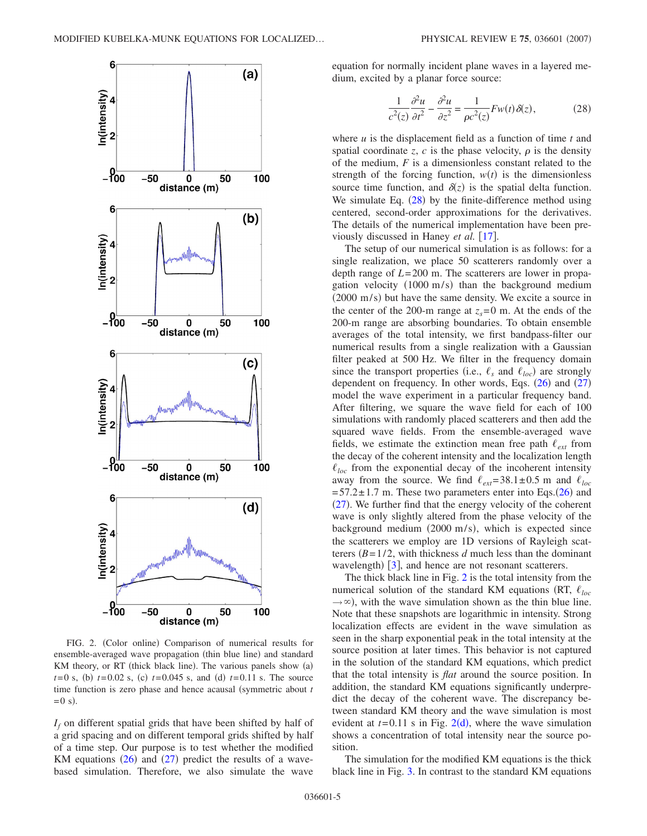<span id="page-5-1"></span>

FIG. 2. (Color online) Comparison of numerical results for ensemble-averaged wave propagation (thin blue line) and standard KM theory, or RT (thick black line). The various panels show (a)  $t = 0$  s, (b)  $t = 0.02$  s, (c)  $t = 0.045$  s, and (d)  $t = 0.11$  s. The source time function is zero phase and hence acausal (symmetric about  $t$  $=0$  s).

*If* on different spatial grids that have been shifted by half of a grid spacing and on different temporal grids shifted by half of a time step. Our purpose is to test whether the modified KM equations  $(26)$  $(26)$  $(26)$  and  $(27)$  $(27)$  $(27)$  predict the results of a wavebased simulation. Therefore, we also simulate the wave <span id="page-5-0"></span>equation for normally incident plane waves in a layered medium, excited by a planar force source:

$$
\frac{1}{c^2(z)}\frac{\partial^2 u}{\partial t^2} - \frac{\partial^2 u}{\partial z^2} = \frac{1}{\rho c^2(z)} F w(t) \delta(z),\tag{28}
$$

where *u* is the displacement field as a function of time *t* and spatial coordinate *z*, *c* is the phase velocity,  $\rho$  is the density of the medium, *F* is a dimensionless constant related to the strength of the forcing function,  $w(t)$  is the dimensionless source time function, and  $\delta(z)$  is the spatial delta function. We simulate Eq.  $(28)$  $(28)$  $(28)$  by the finite-difference method using centered, second-order approximations for the derivatives. The details of the numerical implementation have been previously discussed in Haney *et al.* [[17](#page-8-16)].

The setup of our numerical simulation is as follows: for a single realization, we place 50 scatterers randomly over a depth range of *L*= 200 m. The scatterers are lower in propagation velocity (1000 m/s) than the background medium  $(2000 \text{ m/s})$  but have the same density. We excite a source in the center of the 200-m range at  $z<sub>s</sub>=0$  m. At the ends of the 200-m range are absorbing boundaries. To obtain ensemble averages of the total intensity, we first bandpass-filter our numerical results from a single realization with a Gaussian filter peaked at 500 Hz. We filter in the frequency domain since the transport properties (i.e.,  $\ell_s$  and  $\ell_{loc}$ ) are strongly dependent on frequency. In other words, Eqs.  $(26)$  $(26)$  $(26)$  and  $(27)$  $(27)$  $(27)$ model the wave experiment in a particular frequency band. After filtering, we square the wave field for each of 100 simulations with randomly placed scatterers and then add the squared wave fields. From the ensemble-averaged wave fields, we estimate the extinction mean free path  $\ell_{ext}$  from the decay of the coherent intensity and the localization length  $\ell_{loc}$  from the exponential decay of the incoherent intensity away from the source. We find  $\ell_{ext} = 38.1 \pm 0.5$  m and  $\ell_{loc}$  $= 57.2 \pm 1.7$  m. These two parameters enter into Eqs.([26](#page-4-7)) and  $(27)$  $(27)$  $(27)$ . We further find that the energy velocity of the coherent wave is only slightly altered from the phase velocity of the background medium  $(2000 \text{ m/s})$ , which is expected since the scatterers we employ are 1D versions of Rayleigh scatterers  $(B=1/2$ , with thickness *d* much less than the dominant wavelength)  $\left[3\right]$  $\left[3\right]$  $\left[3\right]$ , and hence are not resonant scatterers.

The thick black line in Fig. [2](#page-5-1) is the total intensity from the numerical solution of the standard KM equations (RT,  $\ell_{loc}$ )  $\rightarrow \infty$ ), with the wave simulation shown as the thin blue line. Note that these snapshots are logarithmic in intensity. Strong localization effects are evident in the wave simulation as seen in the sharp exponential peak in the total intensity at the source position at later times. This behavior is not captured in the solution of the standard KM equations, which predict that the total intensity is *flat* around the source position. In addition, the standard KM equations significantly underpredict the decay of the coherent wave. The discrepancy between standard KM theory and the wave simulation is most evident at  $t = 0.11$  s in Fig. [2](#page-5-1)(d), where the wave simulation shows a concentration of total intensity near the source position.

The simulation for the modified KM equations is the thick black line in Fig. [3.](#page-6-0) In contrast to the standard KM equations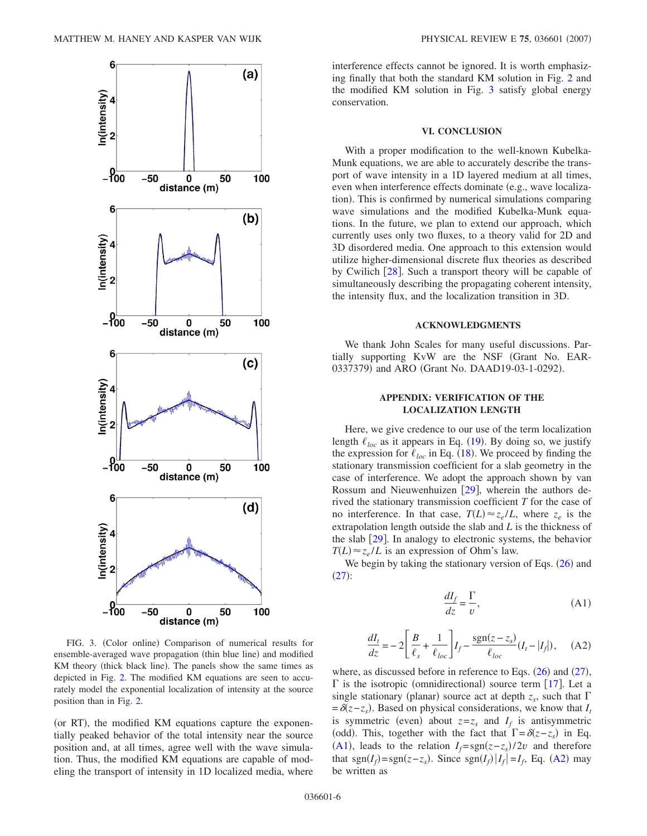<span id="page-6-0"></span>

FIG. 3. (Color online) Comparison of numerical results for ensemble-averaged wave propagation (thin blue line) and modified KM theory (thick black line). The panels show the same times as depicted in Fig. [2.](#page-5-1) The modified KM equations are seen to accurately model the exponential localization of intensity at the source position than in Fig. [2.](#page-5-1)

(or RT), the modified KM equations capture the exponentially peaked behavior of the total intensity near the source position and, at all times, agree well with the wave simulation. Thus, the modified KM equations are capable of modeling the transport of intensity in 1D localized media, where interference effects cannot be ignored. It is worth emphasizing finally that both the standard KM solution in Fig. [2](#page-5-1) and the modified KM solution in Fig. [3](#page-6-0) satisfy global energy conservation.

#### **VI. CONCLUSION**

With a proper modification to the well-known Kubelka-Munk equations, we are able to accurately describe the transport of wave intensity in a 1D layered medium at all times, even when interference effects dominate (e.g., wave localization). This is confirmed by numerical simulations comparing wave simulations and the modified Kubelka-Munk equations. In the future, we plan to extend our approach, which currently uses only two fluxes, to a theory valid for 2D and 3D disordered media. One approach to this extension would utilize higher-dimensional discrete flux theories as described by Cwilich  $[28]$  $[28]$  $[28]$ . Such a transport theory will be capable of simultaneously describing the propagating coherent intensity, the intensity flux, and the localization transition in 3D.

#### **ACKNOWLEDGMENTS**

We thank John Scales for many useful discussions. Partially supporting KvW are the NSF Grant No. EAR-0337379) and ARO (Grant No. DAAD19-03-1-0292).

### **APPENDIX: VERIFICATION OF THE LOCALIZATION LENGTH**

Here, we give credence to our use of the term localization length  $\ell_{loc}$  as it appears in Eq. ([19](#page-4-3)). By doing so, we justify the expression for  $\ell_{loc}$  in Eq. ([18](#page-4-1)). We proceed by finding the stationary transmission coefficient for a slab geometry in the case of interference. We adopt the approach shown by van Rossum and Nieuwenhuizen  $\lceil 29 \rceil$  $\lceil 29 \rceil$  $\lceil 29 \rceil$ , wherein the authors derived the stationary transmission coefficient *T* for the case of no interference. In that case,  $T(L) \approx z_e/L$ , where  $z_e$  is the extrapolation length outside the slab and *L* is the thickness of the slab  $[29]$  $[29]$  $[29]$ . In analogy to electronic systems, the behavior  $T(L) \approx z_e/L$  is an expression of Ohm's law.

<span id="page-6-1"></span>We begin by taking the stationary version of Eqs.  $(26)$  $(26)$  $(26)$  and  $(27)$  $(27)$  $(27)$ :

$$
\frac{dI_f}{dz} = \frac{\Gamma}{v},\tag{A1}
$$

<span id="page-6-2"></span>
$$
\frac{dI_t}{dz} = -2\left[\frac{B}{\ell_s} + \frac{1}{\ell_{loc}}\right]I_f - \frac{\text{sgn}(z - z_s)}{\ell_{loc}}(I_t - |I_f|), \quad \text{(A2)}
$$

where, as discussed before in reference to Eqs.  $(26)$  $(26)$  $(26)$  and  $(27)$  $(27)$  $(27)$ ,  $\Gamma$  is the isotropic (omnidirectional) source term [[17](#page-8-16)]. Let a single stationary (planar) source act at depth  $z_s$ , such that  $\Gamma$  $=\delta(z-z_s)$ . Based on physical considerations, we know that *I<sub>t</sub>* is symmetric (even) about  $z=z_s$  and  $I_f$  is antisymmetric (odd). This, together with the fact that  $\Gamma = \delta(z - z_s)$  in Eq. ([A1](#page-6-1)), leads to the relation  $I_f = sgn(z-z_s)/2v$  and therefore that sgn $(I_f)$ =sgn $(z - z_s)$ . Since sgn $(I_f)|I_f| = I_f$ , Eq. ([A2](#page-6-2)) may be written as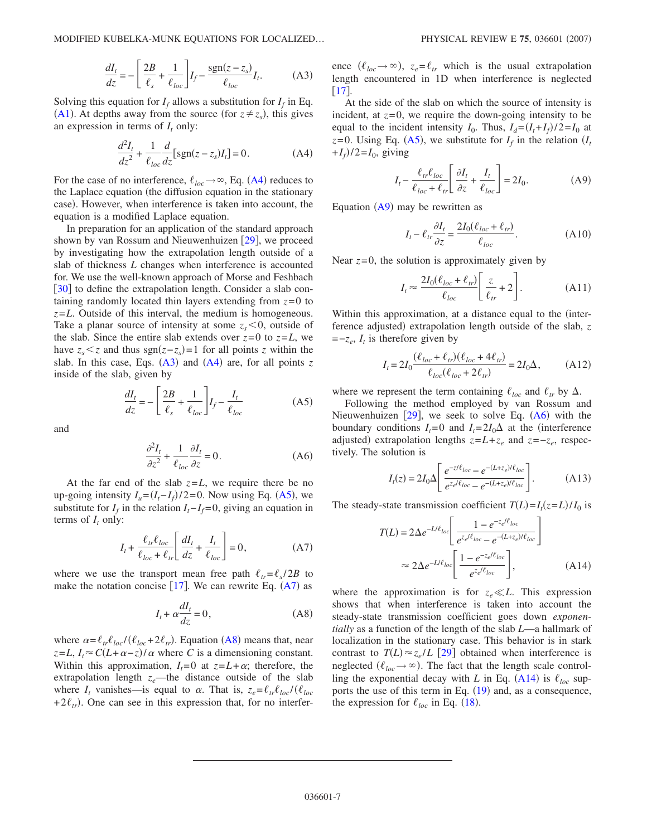$$
\frac{dI_t}{dz} = -\left[\frac{2B}{\ell_s} + \frac{1}{\ell_{loc}}\right]I_f - \frac{\text{sgn}(z - z_s)}{\ell_{loc}}I_t.
$$
 (A3)

<span id="page-7-1"></span><span id="page-7-0"></span>Solving this equation for  $I_f$  allows a substitution for  $I_f$  in Eq. ([A1](#page-6-1)). At depths away from the source (for  $z \neq z_s$ ), this gives an expression in terms of  $I_t$  only:

$$
\frac{d^2I_t}{dz^2} + \frac{1}{\ell_{loc}} \frac{d}{dz} \left[ sgn(z - z_s)I_t \right] = 0.
$$
 (A4)

For the case of no interference,  $\ell_{loc} \rightarrow \infty$ , Eq. ([A4](#page-7-0)) reduces to the Laplace equation (the diffusion equation in the stationary case). However, when interference is taken into account, the equation is a modified Laplace equation.

In preparation for an application of the standard approach shown by van Rossum and Nieuwenhuizen  $[29]$  $[29]$  $[29]$ , we proceed by investigating how the extrapolation length outside of a slab of thickness *L* changes when interference is accounted for. We use the well-known approach of Morse and Feshbach  $\lceil 30 \rceil$  $\lceil 30 \rceil$  $\lceil 30 \rceil$  to define the extrapolation length. Consider a slab containing randomly located thin layers extending from  $z=0$  to *z*=*L*. Outside of this interval, the medium is homogeneous. Take a planar source of intensity at some  $z_s < 0$ , outside of the slab. Since the entire slab extends over  $z=0$  to  $z=L$ , we have  $z_s \leq z$  and thus sgn $(z-z_s) = 1$  for all points *z* within the slab. In this case, Eqs.  $(A3)$  $(A3)$  $(A3)$  and  $(A4)$  $(A4)$  $(A4)$  are, for all points  $z$ inside of the slab, given by

$$
\frac{dI_t}{dz} = -\left[\frac{2B}{\ell_s} + \frac{1}{\ell_{loc}}\right]I_f - \frac{I_t}{\ell_{loc}}\tag{A5}
$$

<span id="page-7-6"></span><span id="page-7-2"></span>and

$$
\frac{\partial^2 I_t}{\partial z^2} + \frac{1}{\ell_{loc}} \frac{\partial I_t}{\partial z} = 0.
$$
 (A6)

At the far end of the slab  $z=L$ , we require there be no up-going intensity  $I_u = (I_t - I_f)/2 = 0$ . Now using Eq. ([A5](#page-7-2)), we substitute for  $I_f$  in the relation  $I_f - I_f = 0$ , giving an equation in terms of  $I_t$  only:

$$
I_t + \frac{\ell_{tr}\ell_{loc}}{\ell_{loc} + \ell_{tr}} \left[ \frac{dI_t}{dz} + \frac{I_t}{\ell_{loc}} \right] = 0,
$$
 (A7)

<span id="page-7-4"></span><span id="page-7-3"></span>where we use the transport mean free path  $\ell_{tr} = \ell_s / 2B$  to make the notation concise  $[17]$  $[17]$  $[17]$ . We can rewrite Eq.  $(A7)$  $(A7)$  $(A7)$  as

$$
I_t + \alpha \frac{dI_t}{dz} = 0,\t(A8)
$$

where  $\alpha = \ell_{tr} \ell_{loc} / (\ell_{loc} + 2\ell_{tr})$ . Equation ([A8](#page-7-4)) means that, near  $z = L$ ,  $I_t \approx C(L + \alpha - z)/\alpha$  where *C* is a dimensioning constant. Within this approximation,  $I_t = 0$  at  $z = L + \alpha$ ; therefore, the extrapolation length  $z_e$ —the distance outside of the slab where  $I_t$  vanishes—is equal to  $\alpha$ . That is,  $z_e = \ell_{tr} \ell_{loc} / (\ell_{loc})$  $+2\ell_{tr}$ ). One can see in this expression that, for no interfer-

ence  $(\ell_{loc} \to \infty)$ ,  $z_e = \ell_{tr}$  which is the usual extrapolation length encountered in 1D when interference is neglected [17](#page-8-16).

At the side of the slab on which the source of intensity is incident, at  $z=0$ , we require the down-going intensity to be equal to the incident intensity  $I_0$ . Thus,  $I_d = (I_t + I_f)/2 = I_0$  at  $z=0$ . Using Eq. ([A5](#page-7-2)), we substitute for  $I_f$  in the relation  $(I_f)$  $+I_f$ )/2= $I_0$ , giving

$$
I_t - \frac{\ell_{tr}\ell_{loc}}{\ell_{loc} + \ell_{tr}} \left[ \frac{\partial I_t}{\partial z} + \frac{I_t}{\ell_{loc}} \right] = 2I_0.
$$
 (A9)

<span id="page-7-5"></span>Equation  $(A9)$  $(A9)$  $(A9)$  may be rewritten as

$$
I_t - \ell_{tr} \frac{\partial I_t}{\partial z} = \frac{2I_0(\ell_{loc} + \ell_{tr})}{\ell_{loc}}.
$$
 (A10)

Near  $z=0$ , the solution is approximately given by

$$
I_t \approx \frac{2I_0(\ell_{loc} + \ell_{tr})}{\ell_{loc}} \left[ \frac{z}{\ell_{tr}} + 2 \right].
$$
 (A11)

Within this approximation, at a distance equal to the (interference adjusted) extrapolation length outside of the slab, *z* =−*ze*, *It* is therefore given by

$$
I_{t} = 2I_{0} \frac{(\ell_{loc} + \ell_{tr})(\ell_{loc} + 4\ell_{tr})}{\ell_{loc}(\ell_{loc} + 2\ell_{tr})} = 2I_{0}\Delta, \qquad (A12)
$$

where we represent the term containing  $\ell_{loc}$  and  $\ell_{tr}$  by  $\Delta$ .

Following the method employed by van Rossum and Nieuwenhuizen  $[29]$  $[29]$  $[29]$ , we seek to solve Eq.  $(A6)$  $(A6)$  $(A6)$  with the boundary conditions  $I_t = 0$  and  $I_t = 2I_0\Delta$  at the (interference adjusted) extrapolation lengths  $z = L + z_e$  and  $z = -z_e$ , respectively. The solution is

$$
I_t(z) = 2I_0 \Delta \left[ \frac{e^{-z/\ell_{loc}} - e^{-(L+z_e)/\ell_{loc}}}{e^{z_e/\ell_{loc}} - e^{-(L+z_e)/\ell_{loc}}} \right].
$$
 (A13)

<span id="page-7-7"></span>The steady-state transmission coefficient  $T(L) = I_t(z=L)/I_0$  is

$$
T(L) = 2\Delta e^{-L/\ell_{loc}} \left[ \frac{1 - e^{-z_e/\ell_{loc}}}{e^{z_e/\ell_{loc}} - e^{-(L+z_e)/\ell_{loc}}} \right]
$$

$$
\approx 2\Delta e^{-L/\ell_{loc}} \left[ \frac{1 - e^{-z_e/\ell_{loc}}}{e^{z_e/\ell_{loc}}} \right], \tag{A14}
$$

where the approximation is for  $z_e \ll L$ . This expression shows that when interference is taken into account the steady-state transmission coefficient goes down *exponentially* as a function of the length of the slab *L*—a hallmark of localization in the stationary case. This behavior is in stark contrast to  $T(L) \approx z_e / L$  [[29](#page-8-27)] obtained when interference is neglected  $(\ell_{loc} \to \infty)$ . The fact that the length scale controlling the exponential decay with *L* in Eq. ([A14](#page-7-7)) is  $\ell_{loc}$  sup-ports the use of this term in Eq. ([19](#page-4-3)) and, as a consequence, the expression for  $\ell_{loc}$  in Eq. ([18](#page-4-1)).